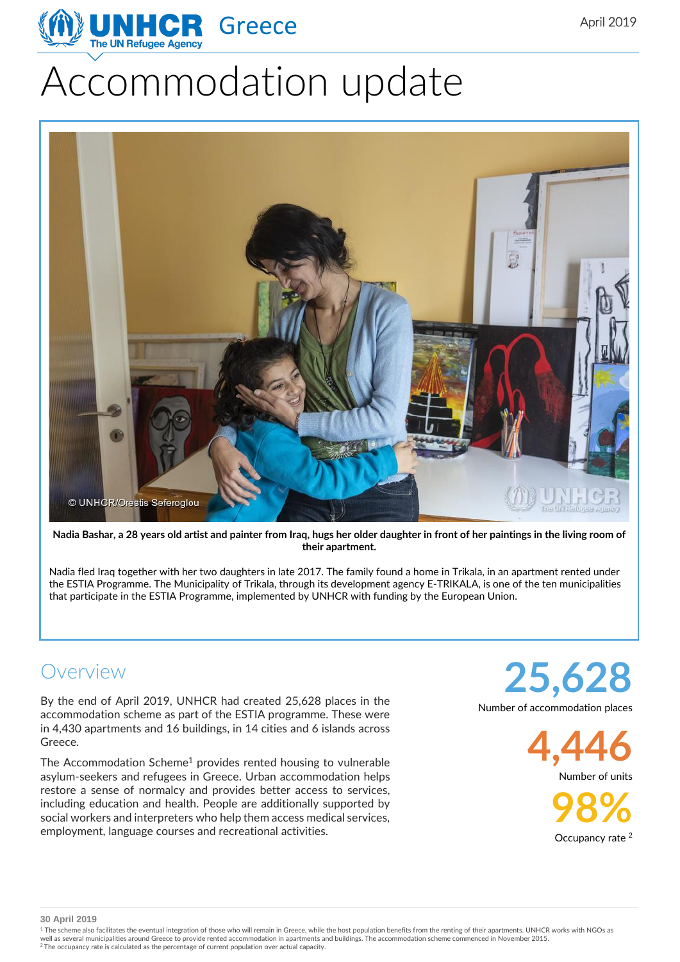# Accommodation update



Nadia Bashar, a 28 years old artist and painter from Iraq, hugs her older daughter in front of her paintings in the living room of **their apartment.**

Nadia fled Iraq together with her two daughters in late 2017. The family found a home in Trikala, in an apartment rented under the ESTIA Programme. The Municipality of Trikala, through its development agency E-TRIKALA, is one of the ten municipalities that participate in the ESTIA Programme, implemented by UNHCR with funding by the European Union.

#### Overview

By the end of April 2019, UNHCR had created 25,628 places in the accommodation scheme as part of the ESTIA programme. These were in 4,430 apartments and 16 buildings, in 14 cities and 6 islands across Greece.

The Accommodation Scheme<sup>1</sup> provides rented housing to vulnerable asylum-seekers and refugees in Greece. Urban accommodation helps restore a sense of normalcy and provides better access to services, including education and health. People are additionally supported by social workers and interpreters who help them access medical services, employment, language courses and recreational activities.

**25,628** Number of accommodation places

> **4,446** Number of units

> > **98%** Occupancy rate<sup>2</sup>

**30 April 2019**

<sup>1</sup> The scheme also facilitates the eventual integration of those who will remain in Greece, while the host population benefits from the renting of their apartments. UNHCR works with NGOs as well as several municipalities around Greece to provide rented accommodation in apartments and buildings. The accommodation scheme commenced in November 2015.<br><sup>2</sup> The occupancy rate is calculated as the percentage of curre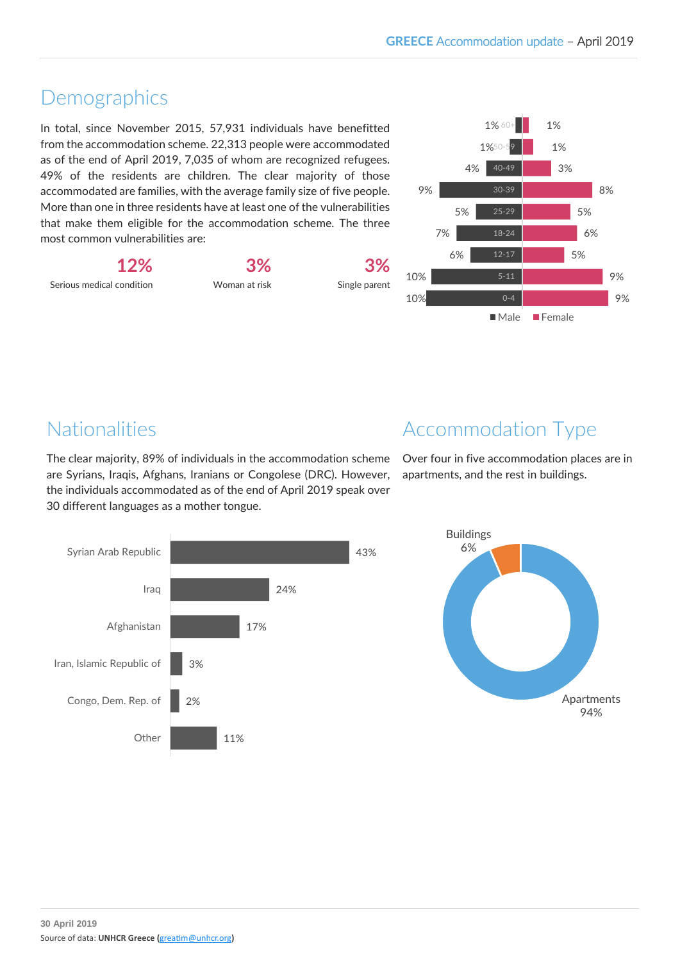# Demographics

In total, since November 2015, 57,931 individuals have benefitted from the accommodation scheme. 22,313 people were accommodated as of the end of April 2019, 7,035 of whom are recognized refugees. 49% of the residents are children. The clear majority of those accommodated are families, with the average family size of five people. More than one in three residents have at least one of the vulnerabilities that make them eligible for the accommodation scheme. The three most common vulnerabilities are:



Woman at risk

**3%**





# Nationalities

The clear majority, 89% of individuals in the accommodation scheme are Syrians, Iraqis, Afghans, Iranians or Congolese (DRC). However, the individuals accommodated as of the end of April 2019 speak over 30 different languages as a mother tongue.



Over four in five accommodation places are in apartments, and the rest in buildings.



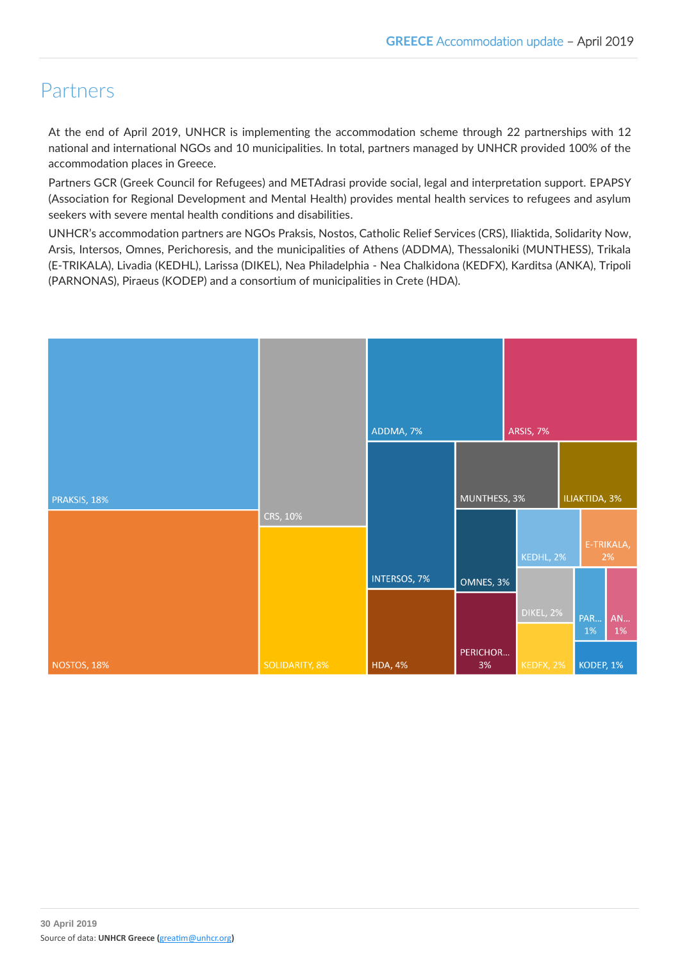# Partners

At the end of April 2019, UNHCR is implementing the accommodation scheme through 22 partnerships with 12 national and international NGOs and 10 municipalities. In total, partners managed by UNHCR provided 100% of the accommodation places in Greece.

Partners GCR (Greek Council for Refugees) and METAdrasi provide social, legal and interpretation support. EPAPSY (Association for Regional Development and Mental Health) provides mental health services to refugees and asylum seekers with severe mental health conditions and disabilities.

UNHCR's accommodation partners are NGOs Praksis, Nostos, Catholic Relief Services (CRS), Iliaktida, Solidarity Now, Arsis, Intersos, Omnes, Perichoresis, and the municipalities of Athens (ADDMA), Thessaloniki (MUNTHESS), Trikala (E-TRIKALA), Livadia (KEDHL), Larissa (DIKEL), Nea Philadelphia - Nea Chalkidona (KEDFX), Karditsa (ANKA), Tripoli (PARNONAS), Piraeus (KODEP) and a consortium of municipalities in Crete (HDA).